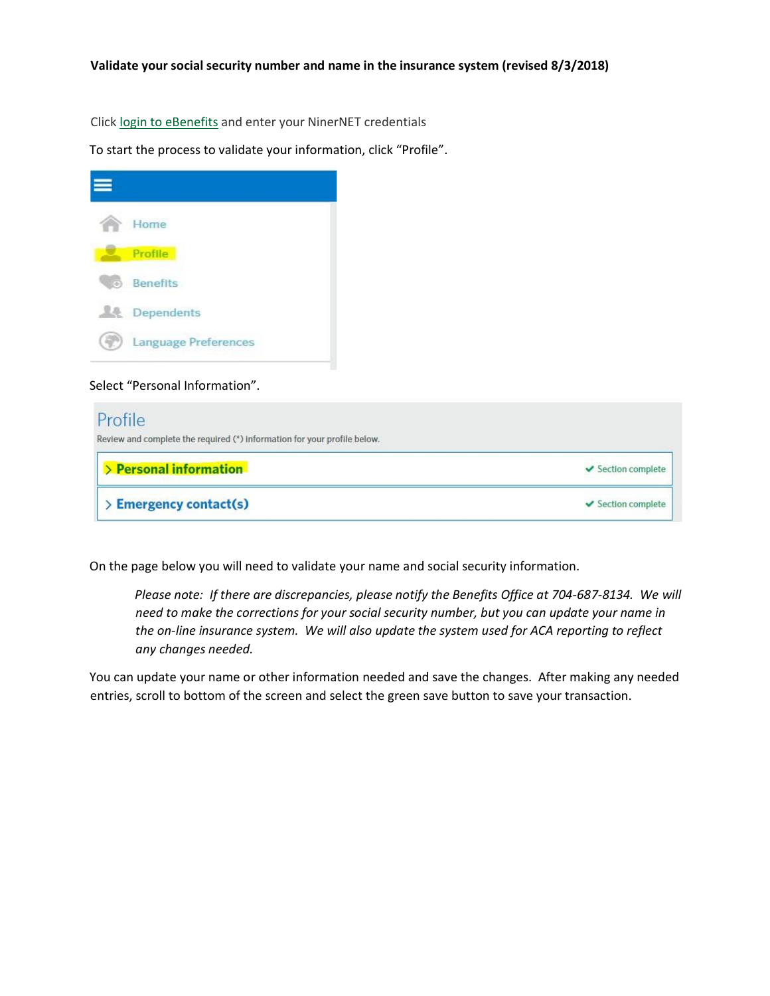Clic[k](https://sp7.benefitfocus.com/sp/startSSO.ping?PartnerIdpId=https://webauth.uncc.edu/idp/shibboleth&ForceAuthn=true&TargetResource=https%3A%2F%2Fwww.ebenefitsnow.com%2Fsso%2Fhome) [login to eBenefits](https://www.ebenefitsnow.com/sso/saml/uncc) and enter your NinerNET credentials

To start the process to validate your information, click "Profile".

|           | Home                        |
|-----------|-----------------------------|
|           | Profile                     |
| $\bullet$ | Benefits                    |
|           | <b>ALL</b> Dependents       |
|           | <b>Language Preferences</b> |

## Select "Personal Information".

| Profile                                                                  |                    |
|--------------------------------------------------------------------------|--------------------|
| Review and complete the required (*) information for your profile below. |                    |
| > Personal information                                                   | ✔ Section complete |
| <b>Emergency contact(s)</b>                                              | ✔ Section complete |

On the page below you will need to validate your name and social security information.

*Please note: If there are discrepancies, please notify the Benefits Office at 704-687-8134. We will need to make the corrections for your social security number, but you can update your name in the on-line insurance system. We will also update the system used for ACA reporting to reflect any changes needed.* 

You can update your name or other information needed and save the changes. After making any needed entries, scroll to bottom of the screen and select the green save button to save your transaction.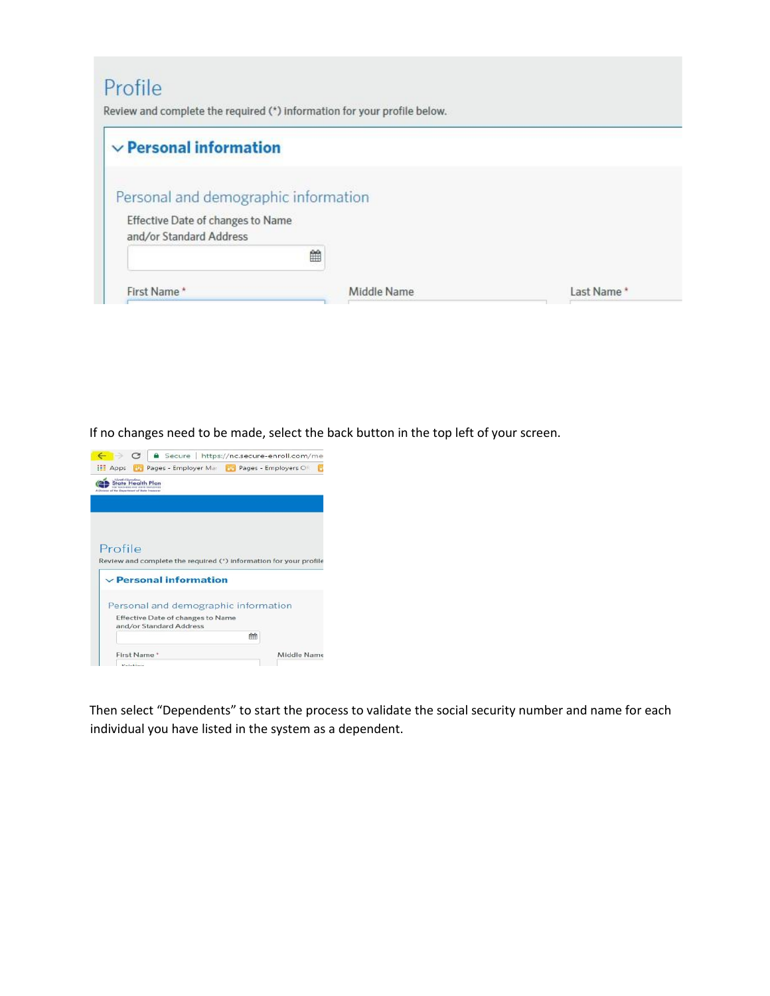## Profile

Review and complete the required (\*) information for your profile below.

| $\vee$ Personal information                                               |             |            |
|---------------------------------------------------------------------------|-------------|------------|
| Personal and demographic information<br>Effective Date of changes to Name |             |            |
| and/or Standard Address                                                   |             |            |
| 篇                                                                         |             |            |
| First Name*                                                               | Middle Name | Last Name* |

If no changes need to be made, select the back button in the top left of your screen.



Then select "Dependents" to start the process to validate the social security number and name for each individual you have listed in the system as a dependent.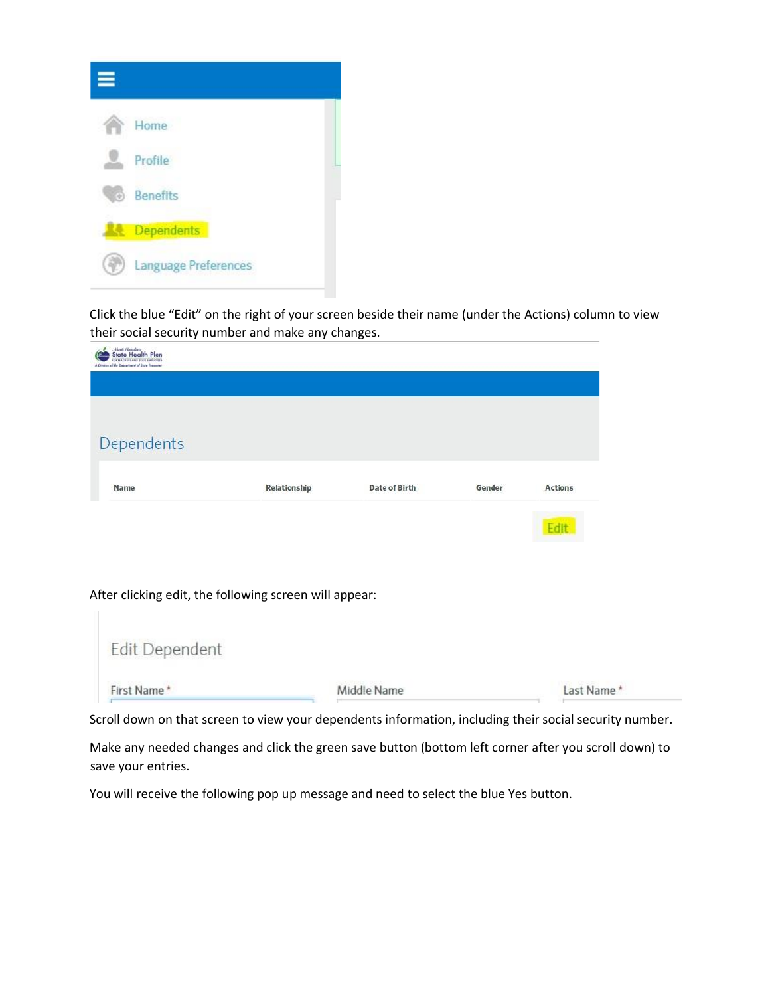

Click the blue "Edit" on the right of your screen beside their name (under the Actions) column to view their social security number and make any changes.

| State Health Plan<br>Œ<br><b>OF TEACHERS ARES STATE EAST</b><br>A Division of the Dajastineer of State Treasure |                                                        |               |        |                |
|-----------------------------------------------------------------------------------------------------------------|--------------------------------------------------------|---------------|--------|----------------|
| Dependents                                                                                                      |                                                        |               |        |                |
| <b>Name</b>                                                                                                     | Relationship                                           | Date of Birth | Gender | <b>Actions</b> |
|                                                                                                                 |                                                        |               |        | Edit           |
|                                                                                                                 | After clicking edit, the following screen will appear: |               |        |                |
| Edit Dependent                                                                                                  |                                                        |               |        |                |
| First Name*                                                                                                     |                                                        | Middle Name   |        | Last Name*     |

Scroll down on that screen to view your dependents information, including their social security number.

Make any needed changes and click the green save button (bottom left corner after you scroll down) to save your entries.

You will receive the following pop up message and need to select the blue Yes button.